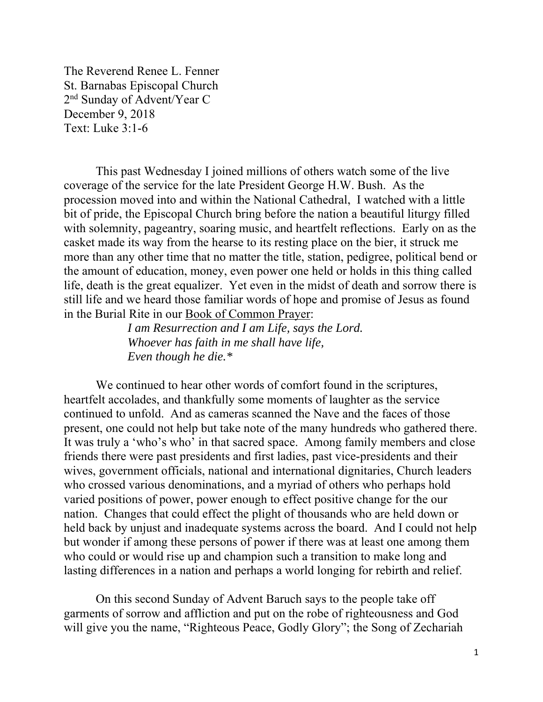The Reverend Renee L. Fenner St. Barnabas Episcopal Church 2nd Sunday of Advent/Year C December 9, 2018 Text: Luke 3:1-6

This past Wednesday I joined millions of others watch some of the live coverage of the service for the late President George H.W. Bush. As the procession moved into and within the National Cathedral, I watched with a little bit of pride, the Episcopal Church bring before the nation a beautiful liturgy filled with solemnity, pageantry, soaring music, and heartfelt reflections. Early on as the casket made its way from the hearse to its resting place on the bier, it struck me more than any other time that no matter the title, station, pedigree, political bend or the amount of education, money, even power one held or holds in this thing called life, death is the great equalizer. Yet even in the midst of death and sorrow there is still life and we heard those familiar words of hope and promise of Jesus as found in the Burial Rite in our Book of Common Prayer:

> *I am Resurrection and I am Life, says the Lord. Whoever has faith in me shall have life, Even though he die.\**

We continued to hear other words of comfort found in the scriptures, heartfelt accolades, and thankfully some moments of laughter as the service continued to unfold. And as cameras scanned the Nave and the faces of those present, one could not help but take note of the many hundreds who gathered there. It was truly a 'who's who' in that sacred space. Among family members and close friends there were past presidents and first ladies, past vice-presidents and their wives, government officials, national and international dignitaries, Church leaders who crossed various denominations, and a myriad of others who perhaps hold varied positions of power, power enough to effect positive change for the our nation. Changes that could effect the plight of thousands who are held down or held back by unjust and inadequate systems across the board. And I could not help but wonder if among these persons of power if there was at least one among them who could or would rise up and champion such a transition to make long and lasting differences in a nation and perhaps a world longing for rebirth and relief.

On this second Sunday of Advent Baruch says to the people take off garments of sorrow and affliction and put on the robe of righteousness and God will give you the name, "Righteous Peace, Godly Glory"; the Song of Zechariah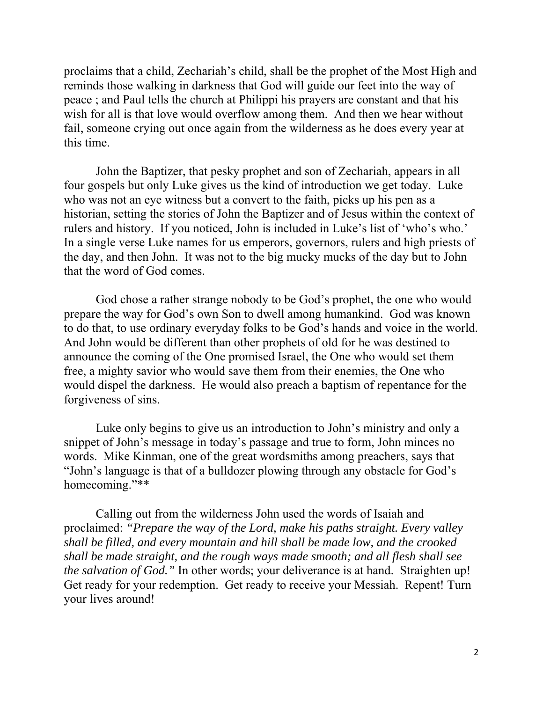proclaims that a child, Zechariah's child, shall be the prophet of the Most High and reminds those walking in darkness that God will guide our feet into the way of peace ; and Paul tells the church at Philippi his prayers are constant and that his wish for all is that love would overflow among them. And then we hear without fail, someone crying out once again from the wilderness as he does every year at this time.

John the Baptizer, that pesky prophet and son of Zechariah, appears in all four gospels but only Luke gives us the kind of introduction we get today. Luke who was not an eye witness but a convert to the faith, picks up his pen as a historian, setting the stories of John the Baptizer and of Jesus within the context of rulers and history. If you noticed, John is included in Luke's list of 'who's who.' In a single verse Luke names for us emperors, governors, rulers and high priests of the day, and then John. It was not to the big mucky mucks of the day but to John that the word of God comes.

God chose a rather strange nobody to be God's prophet, the one who would prepare the way for God's own Son to dwell among humankind. God was known to do that, to use ordinary everyday folks to be God's hands and voice in the world. And John would be different than other prophets of old for he was destined to announce the coming of the One promised Israel, the One who would set them free, a mighty savior who would save them from their enemies, the One who would dispel the darkness. He would also preach a baptism of repentance for the forgiveness of sins.

Luke only begins to give us an introduction to John's ministry and only a snippet of John's message in today's passage and true to form, John minces no words. Mike Kinman, one of the great wordsmiths among preachers, says that "John's language is that of a bulldozer plowing through any obstacle for God's homecoming."\*\*

Calling out from the wilderness John used the words of Isaiah and proclaimed: *"Prepare the way of the Lord, make his paths straight. Every valley shall be filled, and every mountain and hill shall be made low, and the crooked shall be made straight, and the rough ways made smooth; and all flesh shall see the salvation of God."* In other words; your deliverance is at hand. Straighten up! Get ready for your redemption. Get ready to receive your Messiah. Repent! Turn your lives around!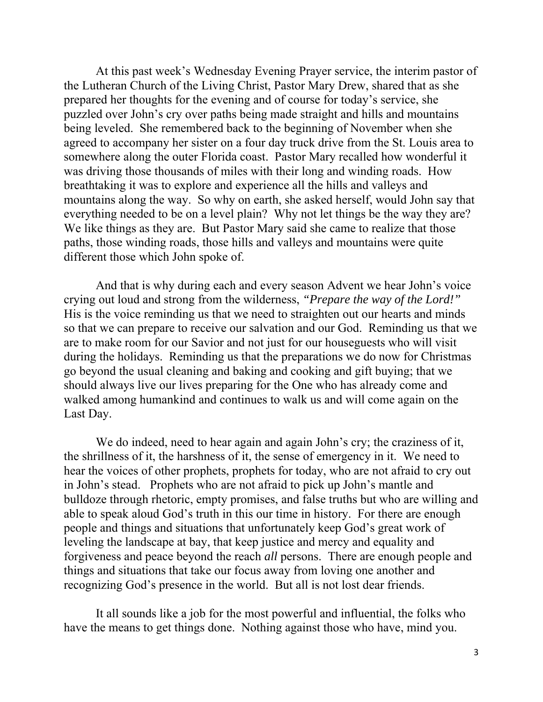At this past week's Wednesday Evening Prayer service, the interim pastor of the Lutheran Church of the Living Christ, Pastor Mary Drew, shared that as she prepared her thoughts for the evening and of course for today's service, she puzzled over John's cry over paths being made straight and hills and mountains being leveled. She remembered back to the beginning of November when she agreed to accompany her sister on a four day truck drive from the St. Louis area to somewhere along the outer Florida coast. Pastor Mary recalled how wonderful it was driving those thousands of miles with their long and winding roads. How breathtaking it was to explore and experience all the hills and valleys and mountains along the way. So why on earth, she asked herself, would John say that everything needed to be on a level plain? Why not let things be the way they are? We like things as they are. But Pastor Mary said she came to realize that those paths, those winding roads, those hills and valleys and mountains were quite different those which John spoke of.

And that is why during each and every season Advent we hear John's voice crying out loud and strong from the wilderness, *"Prepare the way of the Lord!"* His is the voice reminding us that we need to straighten out our hearts and minds so that we can prepare to receive our salvation and our God. Reminding us that we are to make room for our Savior and not just for our houseguests who will visit during the holidays. Reminding us that the preparations we do now for Christmas go beyond the usual cleaning and baking and cooking and gift buying; that we should always live our lives preparing for the One who has already come and walked among humankind and continues to walk us and will come again on the Last Day.

We do indeed, need to hear again and again John's cry; the craziness of it, the shrillness of it, the harshness of it, the sense of emergency in it. We need to hear the voices of other prophets, prophets for today, who are not afraid to cry out in John's stead. Prophets who are not afraid to pick up John's mantle and bulldoze through rhetoric, empty promises, and false truths but who are willing and able to speak aloud God's truth in this our time in history. For there are enough people and things and situations that unfortunately keep God's great work of leveling the landscape at bay, that keep justice and mercy and equality and forgiveness and peace beyond the reach *all* persons. There are enough people and things and situations that take our focus away from loving one another and recognizing God's presence in the world. But all is not lost dear friends.

It all sounds like a job for the most powerful and influential, the folks who have the means to get things done. Nothing against those who have, mind you.